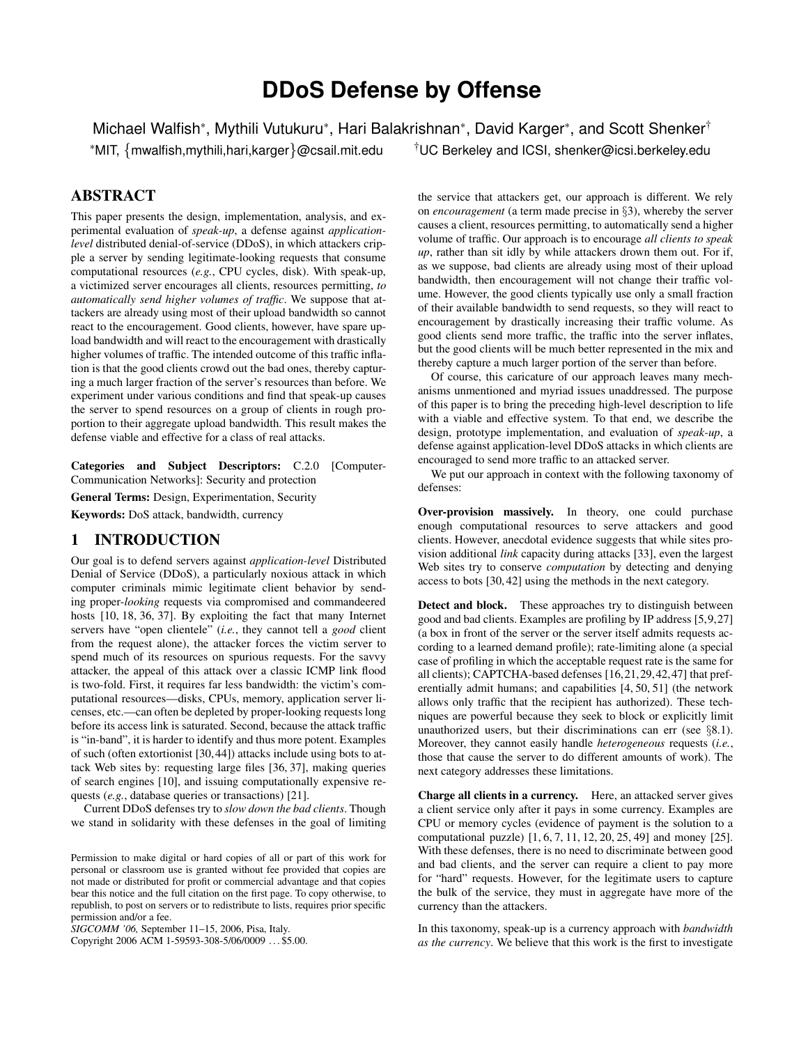# **DDoS Defense by Offense**

Michael Walfish<sup>∗</sup>, Mythili Vutukuru<sup>∗</sup>, Hari Balakrishnan<sup>∗</sup>, David Karger<sup>∗</sup>, and Scott Shenker<sup>†</sup> <sup>∗</sup>MIT, {mwalfish,mythili,hari,karger}@csail.mit.edu †UC Berkeley and ICSI, shenker@icsi.berkeley.edu

# **ABSTRACT**

This paper presents the design, implementation, analysis, and experimental evaluation of *speak-up*, a defense against *applicationlevel* distributed denial-of-service (DDoS), in which attackers cripple a server by sending legitimate-looking requests that consume computational resources (*e.g.*, CPU cycles, disk). With speak-up, a victimized server encourages all clients, resources permitting, *to automatically send higher volumes of traffic*. We suppose that attackers are already using most of their upload bandwidth so cannot react to the encouragement. Good clients, however, have spare upload bandwidth and will react to the encouragement with drastically higher volumes of traffic. The intended outcome of this traffic inflation is that the good clients crowd out the bad ones, thereby capturing a much larger fraction of the server's resources than before. We experiment under various conditions and find that speak-up causes the server to spend resources on a group of clients in rough proportion to their aggregate upload bandwidth. This result makes the defense viable and effective for a class of real attacks.

**Categories and Subject Descriptors:** C.2.0 [Computer-Communication Networks]: Security and protection

**General Terms:** Design, Experimentation, Security

**Keywords:** DoS attack, bandwidth, currency

# **1 INTRODUCTION**

Our goal is to defend servers against *application-level* Distributed Denial of Service (DDoS), a particularly noxious attack in which computer criminals mimic legitimate client behavior by sending proper-*looking* requests via compromised and commandeered hosts [10, 18, 36, 37]. By exploiting the fact that many Internet servers have "open clientele" (*i.e.*, they cannot tell a *good* client from the request alone), the attacker forces the victim server to spend much of its resources on spurious requests. For the savvy attacker, the appeal of this attack over a classic ICMP link flood is two-fold. First, it requires far less bandwidth: the victim's computational resources—disks, CPUs, memory, application server licenses, etc.—can often be depleted by proper-looking requests long before its access link is saturated. Second, because the attack traffic is "in-band", it is harder to identify and thus more potent. Examples of such (often extortionist [30,44]) attacks include using bots to attack Web sites by: requesting large files [36, 37], making queries of search engines [10], and issuing computationally expensive requests (*e.g.*, database queries or transactions) [21].

Current DDoS defenses try to *slow down the bad clients*. Though we stand in solidarity with these defenses in the goal of limiting

*SIGCOMM '06,* September 11–15, 2006, Pisa, Italy.

Copyright 2006 ACM 1-59593-308-5/06/0009 . . . \$5.00.

the service that attackers get, our approach is different. We rely on *encouragement* (a term made precise in §3), whereby the server causes a client, resources permitting, to automatically send a higher volume of traffic. Our approach is to encourage *all clients to speak up*, rather than sit idly by while attackers drown them out. For if, as we suppose, bad clients are already using most of their upload bandwidth, then encouragement will not change their traffic volume. However, the good clients typically use only a small fraction of their available bandwidth to send requests, so they will react to encouragement by drastically increasing their traffic volume. As good clients send more traffic, the traffic into the server inflates, but the good clients will be much better represented in the mix and thereby capture a much larger portion of the server than before.

Of course, this caricature of our approach leaves many mechanisms unmentioned and myriad issues unaddressed. The purpose of this paper is to bring the preceding high-level description to life with a viable and effective system. To that end, we describe the design, prototype implementation, and evaluation of *speak-up*, a defense against application-level DDoS attacks in which clients are encouraged to send more traffic to an attacked server.

We put our approach in context with the following taxonomy of defenses:

**Over-provision massively.** In theory, one could purchase enough computational resources to serve attackers and good clients. However, anecdotal evidence suggests that while sites provision additional *link* capacity during attacks [33], even the largest Web sites try to conserve *computation* by detecting and denying access to bots [30, 42] using the methods in the next category.

**Detect and block.** These approaches try to distinguish between good and bad clients. Examples are profiling by IP address [5,9,27] (a box in front of the server or the server itself admits requests according to a learned demand profile); rate-limiting alone (a special case of profiling in which the acceptable request rate is the same for all clients); CAPTCHA-based defenses [16,21,29,42,47] that preferentially admit humans; and capabilities [4, 50, 51] (the network allows only traffic that the recipient has authorized). These techniques are powerful because they seek to block or explicitly limit unauthorized users, but their discriminations can err (see §8.1). Moreover, they cannot easily handle *heterogeneous* requests (*i.e.*, those that cause the server to do different amounts of work). The next category addresses these limitations.

**Charge all clients in a currency.** Here, an attacked server gives a client service only after it pays in some currency. Examples are CPU or memory cycles (evidence of payment is the solution to a computational puzzle) [1, 6, 7, 11, 12, 20, 25, 49] and money [25]. With these defenses, there is no need to discriminate between good and bad clients, and the server can require a client to pay more for "hard" requests. However, for the legitimate users to capture the bulk of the service, they must in aggregate have more of the currency than the attackers.

In this taxonomy, speak-up is a currency approach with *bandwidth as the currency*. We believe that this work is the first to investigate

Permission to make digital or hard copies of all or part of this work for personal or classroom use is granted without fee provided that copies are not made or distributed for profit or commercial advantage and that copies bear this notice and the full citation on the first page. To copy otherwise, to republish, to post on servers or to redistribute to lists, requires prior specific permission and/or a fee.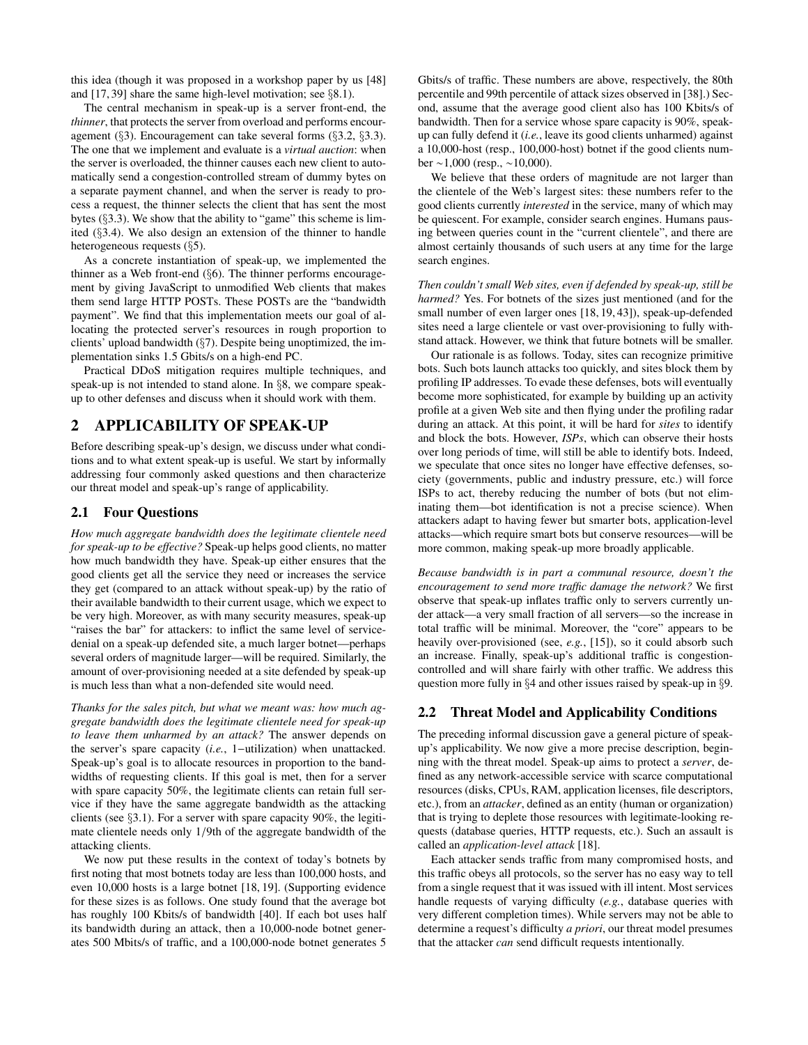this idea (though it was proposed in a workshop paper by us [48] and [17, 39] share the same high-level motivation; see §8.1).

The central mechanism in speak-up is a server front-end, the *thinner*, that protects the server from overload and performs encouragement (§3). Encouragement can take several forms (§3.2, §3.3). The one that we implement and evaluate is a *virtual auction*: when the server is overloaded, the thinner causes each new client to automatically send a congestion-controlled stream of dummy bytes on a separate payment channel, and when the server is ready to process a request, the thinner selects the client that has sent the most bytes  $(\S3.3)$ . We show that the ability to "game" this scheme is limited (§3.4). We also design an extension of the thinner to handle heterogeneous requests (§5).

As a concrete instantiation of speak-up, we implemented the thinner as a Web front-end (§6). The thinner performs encouragement by giving JavaScript to unmodified Web clients that makes them send large HTTP POSTs. These POSTs are the "bandwidth payment". We find that this implementation meets our goal of allocating the protected server's resources in rough proportion to clients' upload bandwidth (§7). Despite being unoptimized, the implementation sinks 1.5 Gbits/s on a high-end PC.

Practical DDoS mitigation requires multiple techniques, and speak-up is not intended to stand alone. In §8, we compare speakup to other defenses and discuss when it should work with them.

## **2 APPLICABILITY OF SPEAK-UP**

Before describing speak-up's design, we discuss under what conditions and to what extent speak-up is useful. We start by informally addressing four commonly asked questions and then characterize our threat model and speak-up's range of applicability.

## **2.1 Four Questions**

*How much aggregate bandwidth does the legitimate clientele need for speak-up to be effective?* Speak-up helps good clients, no matter how much bandwidth they have. Speak-up either ensures that the good clients get all the service they need or increases the service they get (compared to an attack without speak-up) by the ratio of their available bandwidth to their current usage, which we expect to be very high. Moreover, as with many security measures, speak-up "raises the bar" for attackers: to inflict the same level of servicedenial on a speak-up defended site, a much larger botnet—perhaps several orders of magnitude larger—will be required. Similarly, the amount of over-provisioning needed at a site defended by speak-up is much less than what a non-defended site would need.

*Thanks for the sales pitch, but what we meant was: how much aggregate bandwidth does the legitimate clientele need for speak-up to leave them unharmed by an attack?* The answer depends on the server's spare capacity (*i.e.*, 1−utilization) when unattacked. Speak-up's goal is to allocate resources in proportion to the bandwidths of requesting clients. If this goal is met, then for a server with spare capacity 50%, the legitimate clients can retain full service if they have the same aggregate bandwidth as the attacking clients (see §3.1). For a server with spare capacity 90%, the legitimate clientele needs only 1/9th of the aggregate bandwidth of the attacking clients.

We now put these results in the context of today's botnets by first noting that most botnets today are less than 100,000 hosts, and even 10,000 hosts is a large botnet [18, 19]. (Supporting evidence for these sizes is as follows. One study found that the average bot has roughly 100 Kbits/s of bandwidth [40]. If each bot uses half its bandwidth during an attack, then a 10,000-node botnet generates 500 Mbits/s of traffic, and a 100,000-node botnet generates 5

Gbits/s of traffic. These numbers are above, respectively, the 80th percentile and 99th percentile of attack sizes observed in [38].) Second, assume that the average good client also has 100 Kbits/s of bandwidth. Then for a service whose spare capacity is 90%, speakup can fully defend it (*i.e.*, leave its good clients unharmed) against a 10,000-host (resp., 100,000-host) botnet if the good clients number ∼1,000 (resp., ∼10,000).

We believe that these orders of magnitude are not larger than the clientele of the Web's largest sites: these numbers refer to the good clients currently *interested* in the service, many of which may be quiescent. For example, consider search engines. Humans pausing between queries count in the "current clientele", and there are almost certainly thousands of such users at any time for the large search engines.

*Then couldn't small Web sites, even if defended by speak-up, still be harmed?* Yes. For botnets of the sizes just mentioned (and for the small number of even larger ones [18, 19, 43]), speak-up-defended sites need a large clientele or vast over-provisioning to fully withstand attack. However, we think that future botnets will be smaller.

Our rationale is as follows. Today, sites can recognize primitive bots. Such bots launch attacks too quickly, and sites block them by profiling IP addresses. To evade these defenses, bots will eventually become more sophisticated, for example by building up an activity profile at a given Web site and then flying under the profiling radar during an attack. At this point, it will be hard for *sites* to identify and block the bots. However, *ISPs*, which can observe their hosts over long periods of time, will still be able to identify bots. Indeed, we speculate that once sites no longer have effective defenses, society (governments, public and industry pressure, etc.) will force ISPs to act, thereby reducing the number of bots (but not eliminating them—bot identification is not a precise science). When attackers adapt to having fewer but smarter bots, application-level attacks—which require smart bots but conserve resources—will be more common, making speak-up more broadly applicable.

*Because bandwidth is in part a communal resource, doesn't the encouragement to send more traffic damage the network?* We first observe that speak-up inflates traffic only to servers currently under attack—a very small fraction of all servers—so the increase in total traffic will be minimal. Moreover, the "core" appears to be heavily over-provisioned (see, *e.g.*, [15]), so it could absorb such an increase. Finally, speak-up's additional traffic is congestioncontrolled and will share fairly with other traffic. We address this question more fully in §4 and other issues raised by speak-up in §9.

## **2.2 Threat Model and Applicability Conditions**

The preceding informal discussion gave a general picture of speakup's applicability. We now give a more precise description, beginning with the threat model. Speak-up aims to protect a *server*, defined as any network-accessible service with scarce computational resources (disks, CPUs, RAM, application licenses, file descriptors, etc.), from an *attacker*, defined as an entity (human or organization) that is trying to deplete those resources with legitimate-looking requests (database queries, HTTP requests, etc.). Such an assault is called an *application-level attack* [18].

Each attacker sends traffic from many compromised hosts, and this traffic obeys all protocols, so the server has no easy way to tell from a single request that it was issued with ill intent. Most services handle requests of varying difficulty (*e.g.*, database queries with very different completion times). While servers may not be able to determine a request's difficulty *a priori*, our threat model presumes that the attacker *can* send difficult requests intentionally.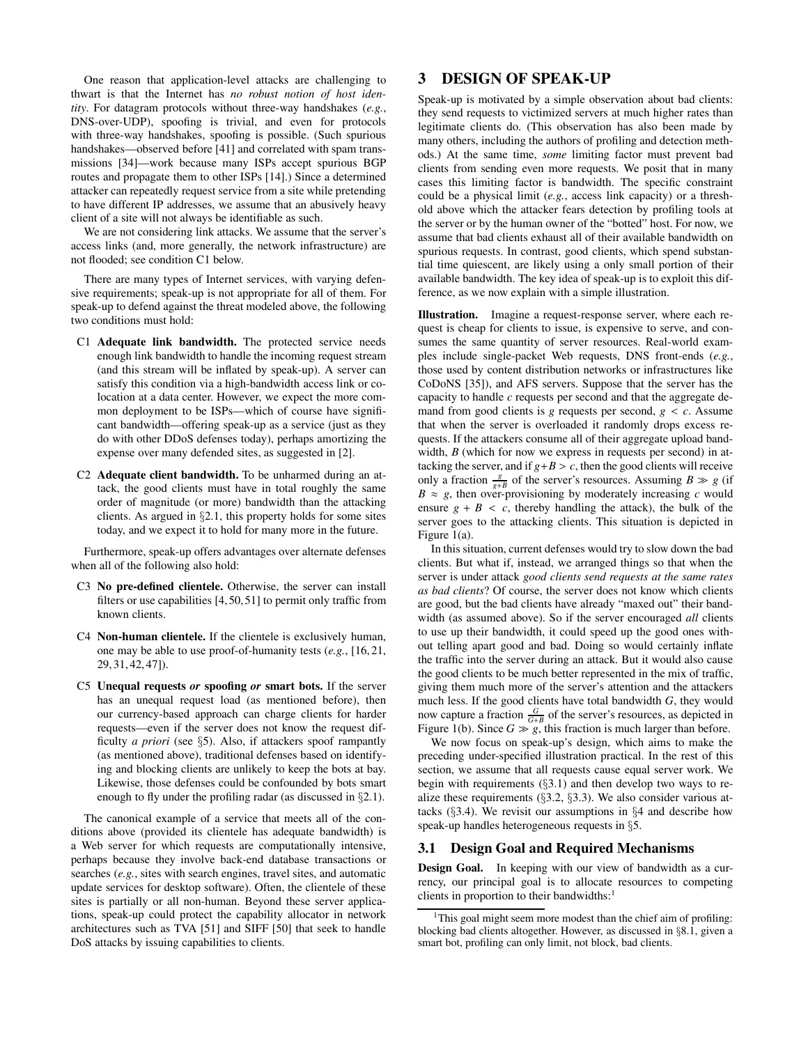One reason that application-level attacks are challenging to thwart is that the Internet has *no robust notion of host identity*. For datagram protocols without three-way handshakes (*e.g.*, DNS-over-UDP), spoofing is trivial, and even for protocols with three-way handshakes, spoofing is possible. (Such spurious handshakes—observed before [41] and correlated with spam transmissions [34]—work because many ISPs accept spurious BGP routes and propagate them to other ISPs [14].) Since a determined attacker can repeatedly request service from a site while pretending to have different IP addresses, we assume that an abusively heavy client of a site will not always be identifiable as such.

We are not considering link attacks. We assume that the server's access links (and, more generally, the network infrastructure) are not flooded; see condition C1 below.

There are many types of Internet services, with varying defensive requirements; speak-up is not appropriate for all of them. For speak-up to defend against the threat modeled above, the following two conditions must hold:

- C1 **Adequate link bandwidth.** The protected service needs enough link bandwidth to handle the incoming request stream (and this stream will be inflated by speak-up). A server can satisfy this condition via a high-bandwidth access link or colocation at a data center. However, we expect the more common deployment to be ISPs—which of course have significant bandwidth—offering speak-up as a service (just as they do with other DDoS defenses today), perhaps amortizing the expense over many defended sites, as suggested in [2].
- C2 **Adequate client bandwidth.** To be unharmed during an attack, the good clients must have in total roughly the same order of magnitude (or more) bandwidth than the attacking clients. As argued in §2.1, this property holds for some sites today, and we expect it to hold for many more in the future.

Furthermore, speak-up offers advantages over alternate defenses when all of the following also hold:

- C3 **No pre-defined clientele.** Otherwise, the server can install filters or use capabilities [4,50,51] to permit only traffic from known clients.
- C4 **Non-human clientele.** If the clientele is exclusively human, one may be able to use proof-of-humanity tests (*e.g.*, [16, 21, 29, 31, 42, 47]).
- C5 **Unequal requests** *or* **spoofing** *or* **smart bots.** If the server has an unequal request load (as mentioned before), then our currency-based approach can charge clients for harder requests—even if the server does not know the request difficulty *a priori* (see §5). Also, if attackers spoof rampantly (as mentioned above), traditional defenses based on identifying and blocking clients are unlikely to keep the bots at bay. Likewise, those defenses could be confounded by bots smart enough to fly under the profiling radar (as discussed in §2.1).

The canonical example of a service that meets all of the conditions above (provided its clientele has adequate bandwidth) is a Web server for which requests are computationally intensive, perhaps because they involve back-end database transactions or searches (*e.g.*, sites with search engines, travel sites, and automatic update services for desktop software). Often, the clientele of these sites is partially or all non-human. Beyond these server applications, speak-up could protect the capability allocator in network architectures such as TVA [51] and SIFF [50] that seek to handle DoS attacks by issuing capabilities to clients.

# **3 DESIGN OF SPEAK-UP**

Speak-up is motivated by a simple observation about bad clients: they send requests to victimized servers at much higher rates than legitimate clients do. (This observation has also been made by many others, including the authors of profiling and detection methods.) At the same time, *some* limiting factor must prevent bad clients from sending even more requests. We posit that in many cases this limiting factor is bandwidth. The specific constraint could be a physical limit (*e.g.*, access link capacity) or a threshold above which the attacker fears detection by profiling tools at the server or by the human owner of the "botted" host. For now, we assume that bad clients exhaust all of their available bandwidth on spurious requests. In contrast, good clients, which spend substantial time quiescent, are likely using a only small portion of their available bandwidth. The key idea of speak-up is to exploit this difference, as we now explain with a simple illustration.

**Illustration.** Imagine a request-response server, where each request is cheap for clients to issue, is expensive to serve, and consumes the same quantity of server resources. Real-world examples include single-packet Web requests, DNS front-ends (*e.g.*, those used by content distribution networks or infrastructures like CoDoNS [35]), and AFS servers. Suppose that the server has the capacity to handle *c* requests per second and that the aggregate demand from good clients is *g* requests per second,  $g < c$ . Assume that when the server is overloaded it randomly drops excess requests. If the attackers consume all of their aggregate upload bandwidth, *B* (which for now we express in requests per second) in attacking the server, and if  $g + B > c$ , then the good clients will receive only a fraction  $\frac{g}{g+B}$  of the server's resources. Assuming  $B \gg g$  (if  $B \approx g$ , then over-provisioning by moderately increasing *c* would ensure  $g + B < c$ , thereby handling the attack), the bulk of the server goes to the attacking clients. This situation is depicted in Figure 1(a).

In this situation, current defenses would try to slow down the bad clients. But what if, instead, we arranged things so that when the server is under attack *good clients send requests at the same rates as bad clients*? Of course, the server does not know which clients are good, but the bad clients have already "maxed out" their bandwidth (as assumed above). So if the server encouraged *all* clients to use up their bandwidth, it could speed up the good ones without telling apart good and bad. Doing so would certainly inflate the traffic into the server during an attack. But it would also cause the good clients to be much better represented in the mix of traffic, giving them much more of the server's attention and the attackers much less. If the good clients have total bandwidth *G*, they would now capture a fraction  $\frac{G}{G+B}$  of the server's resources, as depicted in Figure 1(b). Since  $G \gg g$ , this fraction is much larger than before.

We now focus on speak-up's design, which aims to make the preceding under-specified illustration practical. In the rest of this section, we assume that all requests cause equal server work. We begin with requirements  $(\S 3.1)$  and then develop two ways to realize these requirements (§3.2, §3.3). We also consider various attacks (§3.4). We revisit our assumptions in §4 and describe how speak-up handles heterogeneous requests in §5.

## **3.1 Design Goal and Required Mechanisms**

**Design Goal.** In keeping with our view of bandwidth as a currency, our principal goal is to allocate resources to competing clients in proportion to their bandwidths:<sup>1</sup>

<sup>&</sup>lt;sup>1</sup>This goal might seem more modest than the chief aim of profiling: blocking bad clients altogether. However, as discussed in §8.1, given a smart bot, profiling can only limit, not block, bad clients.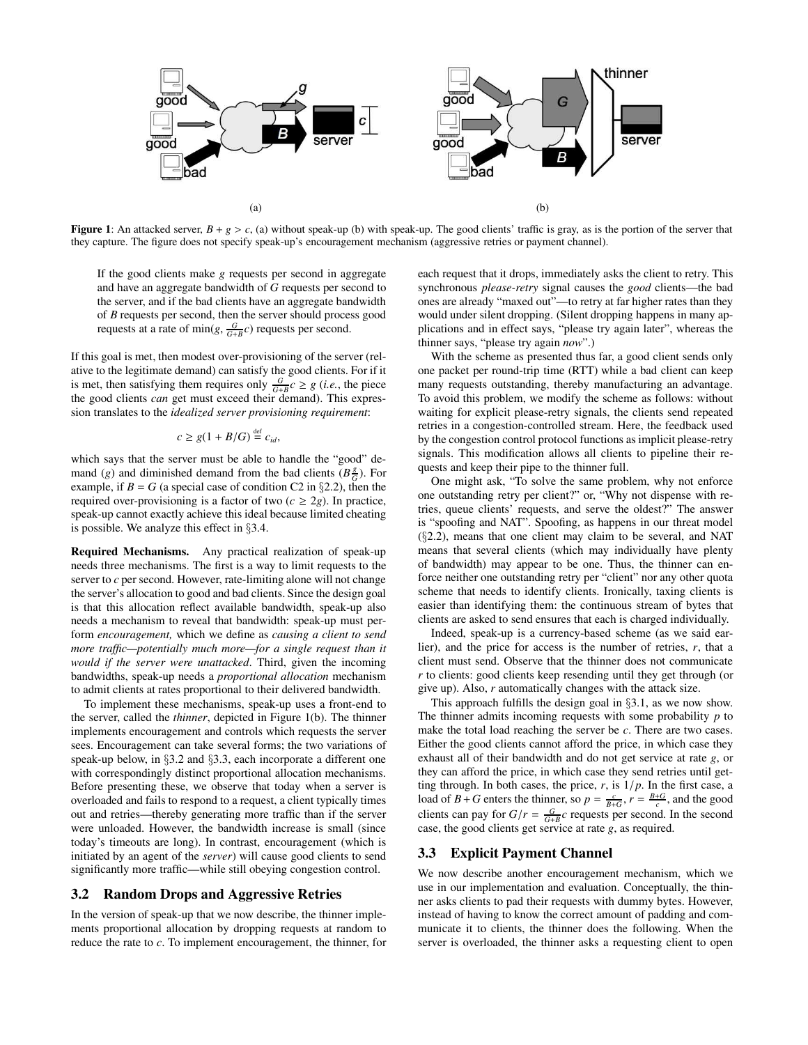

**Figure** 1: An attacked server,  $B + g > c$ , (a) without speak-up (b) with speak-up. The good clients' traffic is gray, as is the portion of the server that they capture. The figure does not specify speak-up's encouragement mechanism (aggressive retries or payment channel).

If the good clients make *g* requests per second in aggregate and have an aggregate bandwidth of *G* requests per second to the server, and if the bad clients have an aggregate bandwidth of *B* requests per second, then the server should process good requests at a rate of min(g,  $\frac{G}{G+B}c$ ) requests per second.

If this goal is met, then modest over-provisioning of the server (relative to the legitimate demand) can satisfy the good clients. For if it is met, then satisfying them requires only  $\frac{G}{G+B}c \ge g$  (*i.e.*, the piece the good clients *can* get must exceed their demand). This expression translates to the *idealized server provisioning requirement*:

$$
c \ge g(1 + B/G) \stackrel{\text{def}}{=} c_{id},
$$

which says that the server must be able to handle the "good" demand (*g*) and diminished demand from the bad clients ( $B\frac{g}{G}$ ). For example, if  $B = G$  (a special case of condition C2 in §2.2), then the required over-provisioning is a factor of two  $(c \geq 2g)$ . In practice, speak-up cannot exactly achieve this ideal because limited cheating is possible. We analyze this effect in §3.4.

**Required Mechanisms.** Any practical realization of speak-up needs three mechanisms. The first is a way to limit requests to the server to *c* per second. However, rate-limiting alone will not change the server's allocation to good and bad clients. Since the design goal is that this allocation reflect available bandwidth, speak-up also needs a mechanism to reveal that bandwidth: speak-up must perform *encouragement,* which we define as *causing a client to send more traffic—potentially much more—for a single request than it would if the server were unattacked*. Third, given the incoming bandwidths, speak-up needs a *proportional allocation* mechanism to admit clients at rates proportional to their delivered bandwidth.

To implement these mechanisms, speak-up uses a front-end to the server, called the *thinner*, depicted in Figure 1(b). The thinner implements encouragement and controls which requests the server sees. Encouragement can take several forms; the two variations of speak-up below, in §3.2 and §3.3, each incorporate a different one with correspondingly distinct proportional allocation mechanisms. Before presenting these, we observe that today when a server is overloaded and fails to respond to a request, a client typically times out and retries—thereby generating more traffic than if the server were unloaded. However, the bandwidth increase is small (since today's timeouts are long). In contrast, encouragement (which is initiated by an agent of the *server*) will cause good clients to send significantly more traffic—while still obeying congestion control.

#### **3.2 Random Drops and Aggressive Retries**

In the version of speak-up that we now describe, the thinner implements proportional allocation by dropping requests at random to reduce the rate to *c*. To implement encouragement, the thinner, for each request that it drops, immediately asks the client to retry. This synchronous *please-retry* signal causes the *good* clients—the bad ones are already "maxed out"—to retry at far higher rates than they would under silent dropping. (Silent dropping happens in many applications and in effect says, "please try again later", whereas the thinner says, "please try again *now*".)

With the scheme as presented thus far, a good client sends only one packet per round-trip time (RTT) while a bad client can keep many requests outstanding, thereby manufacturing an advantage. To avoid this problem, we modify the scheme as follows: without waiting for explicit please-retry signals, the clients send repeated retries in a congestion-controlled stream. Here, the feedback used by the congestion control protocol functions as implicit please-retry signals. This modification allows all clients to pipeline their requests and keep their pipe to the thinner full.

One might ask, "To solve the same problem, why not enforce one outstanding retry per client?" or, "Why not dispense with retries, queue clients' requests, and serve the oldest?" The answer is "spoofing and NAT". Spoofing, as happens in our threat model (§2.2), means that one client may claim to be several, and NAT means that several clients (which may individually have plenty of bandwidth) may appear to be one. Thus, the thinner can enforce neither one outstanding retry per "client" nor any other quota scheme that needs to identify clients. Ironically, taxing clients is easier than identifying them: the continuous stream of bytes that clients are asked to send ensures that each is charged individually.

Indeed, speak-up is a currency-based scheme (as we said earlier), and the price for access is the number of retries, *r*, that a client must send. Observe that the thinner does not communicate *r* to clients: good clients keep resending until they get through (or give up). Also, *r* automatically changes with the attack size.

This approach fulfills the design goal in §3.1, as we now show. The thinner admits incoming requests with some probability *p* to make the total load reaching the server be *c*. There are two cases. Either the good clients cannot afford the price, in which case they exhaust all of their bandwidth and do not get service at rate *g*, or they can afford the price, in which case they send retries until getting through. In both cases, the price,  $r$ , is  $1/p$ . In the first case, a load of  $B + G$  enters the thinner, so  $p = \frac{c}{B+G}$ ,  $r = \frac{B+G}{c}$ , and the good clients can pay for  $G/r = \frac{G}{G+B}c$  requests per second. In the second case, the good clients get service at rate *g*, as required.

## **3.3 Explicit Payment Channel**

We now describe another encouragement mechanism, which we use in our implementation and evaluation. Conceptually, the thinner asks clients to pad their requests with dummy bytes. However, instead of having to know the correct amount of padding and communicate it to clients, the thinner does the following. When the server is overloaded, the thinner asks a requesting client to open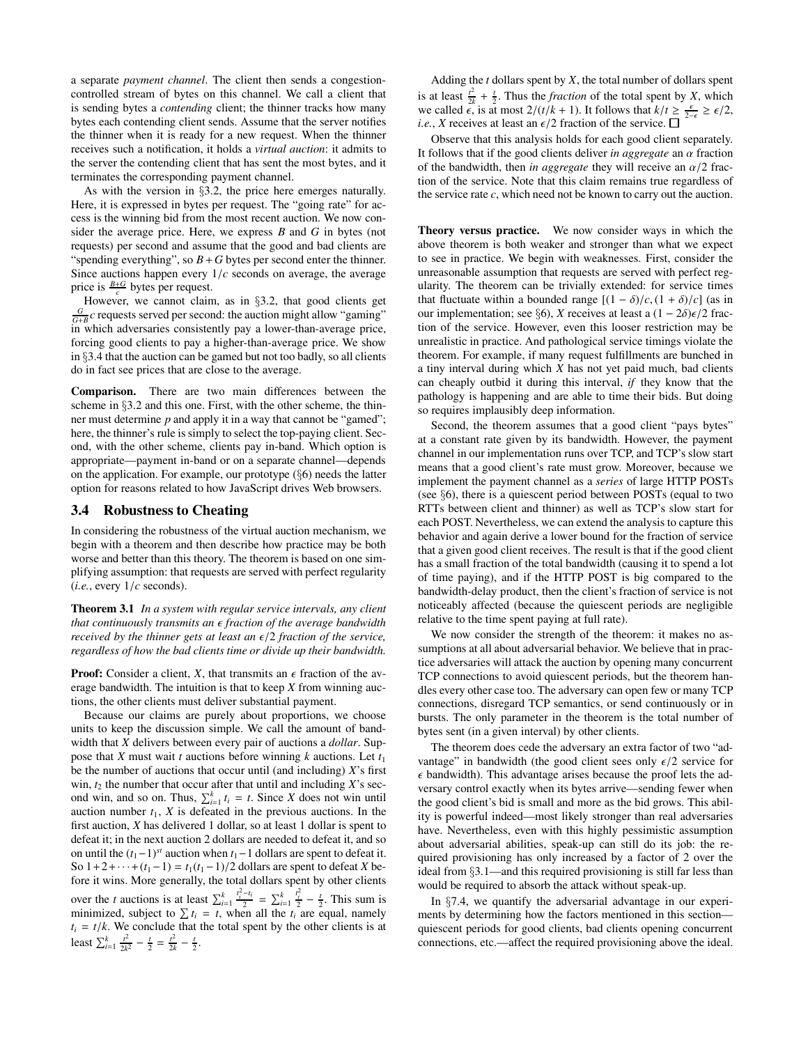a separate *payment channel*. The client then sends a congestioncontrolled stream of bytes on this channel. We call a client that is sending bytes a *contending* client; the thinner tracks how many bytes each contending client sends. Assume that the server notifies the thinner when it is ready for a new request. When the thinner receives such a notification, it holds a *virtual auction*: it admits to the server the contending client that has sent the most bytes, and it terminates the corresponding payment channel.

As with the version in §3.2, the price here emerges naturally. Here, it is expressed in bytes per request. The "going rate" for access is the winning bid from the most recent auction. We now consider the average price. Here, we express *B* and *G* in bytes (not requests) per second and assume that the good and bad clients are "spending everything", so  $B + G$  bytes per second enter the thinner. Since auctions happen every  $1/c$  seconds on average, the average price is  $\frac{B+G}{c}$  bytes per request.

However, we cannot claim, as in §3.2, that good clients get  $\frac{G}{G+B}c$  requests served per second: the auction might allow "gaming" in which adversaries consistently pay a lower-than-average price, forcing good clients to pay a higher-than-average price. We show in §3.4 that the auction can be gamed but not too badly, so all clients do in fact see prices that are close to the average.

**Comparison.** There are two main differences between the scheme in §3.2 and this one. First, with the other scheme, the thinner must determine *p* and apply it in a way that cannot be "gamed"; here, the thinner's rule is simply to select the top-paying client. Second, with the other scheme, clients pay in-band. Which option is appropriate—payment in-band or on a separate channel—depends on the application. For example, our prototype  $(\S6)$  needs the latter option for reasons related to how JavaScript drives Web browsers.

## **3.4 Robustness to Cheating**

In considering the robustness of the virtual auction mechanism, we begin with a theorem and then describe how practice may be both worse and better than this theory. The theorem is based on one simplifying assumption: that requests are served with perfect regularity  $(i.e., every 1/c seconds).$ 

**Theorem 3.1** *In a system with regular service intervals, any client that continuously transmits an fraction of the average bandwidth received* by the thinner gets at least an  $\epsilon/2$  fraction of the service, *regardless of how the bad clients time or divide up their bandwidth.*

**Proof:** Consider a client, *X*, that transmits an  $\epsilon$  fraction of the average bandwidth. The intuition is that to keep *X* from winning auctions, the other clients must deliver substantial payment.

Because our claims are purely about proportions, we choose units to keep the discussion simple. We call the amount of bandwidth that *X* delivers between every pair of auctions a *dollar*. Suppose that *X* must wait *t* auctions before winning *k* auctions. Let  $t_1$ be the number of auctions that occur until (and including)  $X$ 's first win,  $t_2$  the number that occur after that until and including  $X$ 's second win, and so on. Thus,  $\sum_{i=1}^{k} t_i = t$ . Since *X* does not win until auction number  $t_1$ ,  $X$  is defeated in the previous auctions. In the first auction, *X* has delivered 1 dollar, so at least 1 dollar is spent to defeat it; in the next auction 2 dollars are needed to defeat it, and so on until the  $(t_1-1)^{st}$  auction when  $t_1-1$  dollars are spent to defeat it. So  $1+2+\cdots+(t_1-1) = t_1(t_1-1)/2$  dollars are spent to defeat *X* before it wins. More generally, the total dollars spent by other clients over the *t* auctions is at least  $\sum_{i=1}^{k} \frac{t_i^2 - t_i}{2} = \sum_{i=1}^{k} \frac{t_i^2}{2} - \frac{t}{2}$ . This sum is minimized, subject to  $\sum t_i = t$ , when all the  $t_i$  are equal, namely  $t_i = t/k$ . We conclude that the total spent by the other clients is at least  $\sum_{i=1}^{k} \frac{t^2}{2k^2}$  $\frac{t^2}{2k^2} - \frac{t}{2} = \frac{t^2}{2k} - \frac{t}{2}.$ 

Adding the *t* dollars spent by *X*, the total number of dollars spent is at least  $\frac{t^2}{2k} + \frac{t}{2}$ . Thus the *fraction* of the total spent by *X*, which we called  $\epsilon$ , is at most  $2/(t/k + 1)$ . It follows that  $k/t \ge \frac{\epsilon}{2-\epsilon} \ge \epsilon/2$ , *i.e.*, *X* receives at least an  $\epsilon/2$  fraction of the service.  $\Box$ 

Observe that this analysis holds for each good client separately. It follows that if the good clients deliver *in aggregate* an  $\alpha$  fraction of the bandwidth, then *in aggregate* they will receive an  $\alpha/2$  fraction of the service. Note that this claim remains true regardless of the service rate *c*, which need not be known to carry out the auction.

**Theory versus practice.** We now consider ways in which the above theorem is both weaker and stronger than what we expect to see in practice. We begin with weaknesses. First, consider the unreasonable assumption that requests are served with perfect regularity. The theorem can be trivially extended: for service times that fluctuate within a bounded range  $[(1 - \delta)/c, (1 + \delta)/c]$  (as in our implementation; see §6), *X* receives at least a  $(1 - 2\delta)\epsilon/2$  fraction of the service. However, even this looser restriction may be unrealistic in practice. And pathological service timings violate the theorem. For example, if many request fulfillments are bunched in a tiny interval during which *X* has not yet paid much, bad clients can cheaply outbid it during this interval, *if* they know that the pathology is happening and are able to time their bids. But doing so requires implausibly deep information.

Second, the theorem assumes that a good client "pays bytes" at a constant rate given by its bandwidth. However, the payment channel in our implementation runs over TCP, and TCP's slow start means that a good client's rate must grow. Moreover, because we implement the payment channel as a *series* of large HTTP POSTs (see §6), there is a quiescent period between POSTs (equal to two RTTs between client and thinner) as well as TCP's slow start for each POST. Nevertheless, we can extend the analysis to capture this behavior and again derive a lower bound for the fraction of service that a given good client receives. The result is that if the good client has a small fraction of the total bandwidth (causing it to spend a lot of time paying), and if the HTTP POST is big compared to the bandwidth-delay product, then the client's fraction of service is not noticeably affected (because the quiescent periods are negligible relative to the time spent paying at full rate).

We now consider the strength of the theorem: it makes no assumptions at all about adversarial behavior. We believe that in practice adversaries will attack the auction by opening many concurrent TCP connections to avoid quiescent periods, but the theorem handles every other case too. The adversary can open few or many TCP connections, disregard TCP semantics, or send continuously or in bursts. The only parameter in the theorem is the total number of bytes sent (in a given interval) by other clients.

The theorem does cede the adversary an extra factor of two "advantage" in bandwidth (the good client sees only  $\epsilon/2$  service for  $\epsilon$  bandwidth). This advantage arises because the proof lets the adversary control exactly when its bytes arrive—sending fewer when the good client's bid is small and more as the bid grows. This ability is powerful indeed—most likely stronger than real adversaries have. Nevertheless, even with this highly pessimistic assumption about adversarial abilities, speak-up can still do its job: the required provisioning has only increased by a factor of 2 over the ideal from §3.1—and this required provisioning is still far less than would be required to absorb the attack without speak-up.

In §7.4, we quantify the adversarial advantage in our experiments by determining how the factors mentioned in this section quiescent periods for good clients, bad clients opening concurrent connections, etc.—affect the required provisioning above the ideal.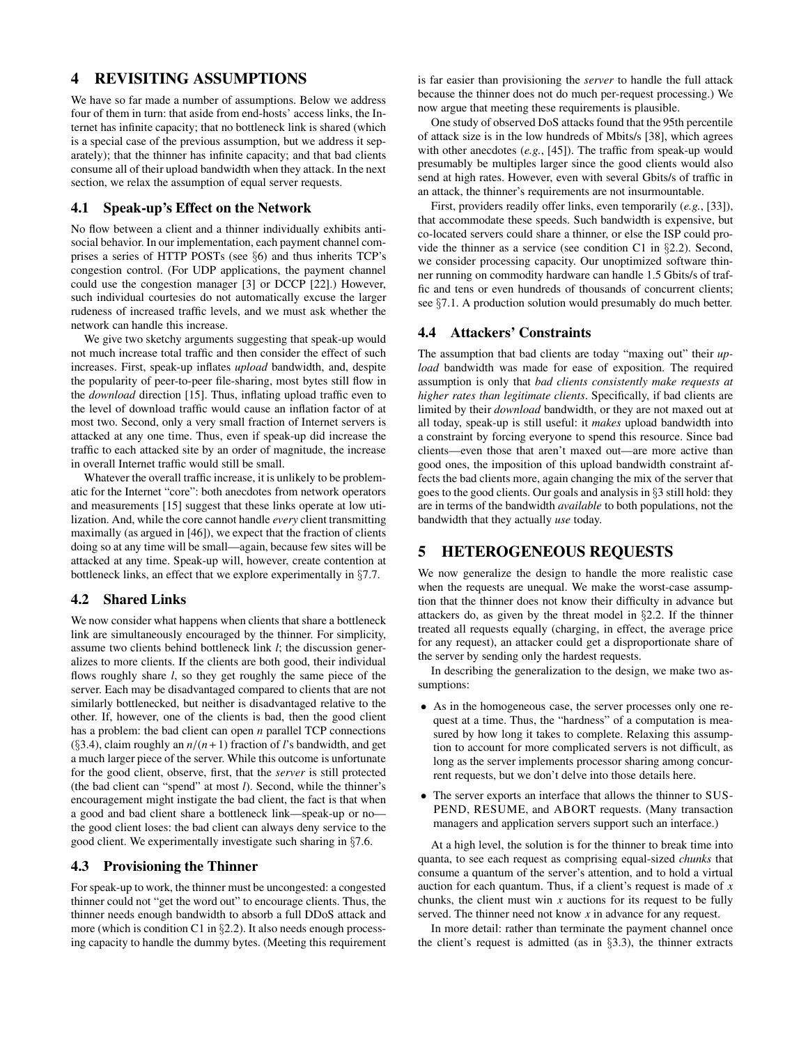# **4 REVISITING ASSUMPTIONS**

We have so far made a number of assumptions. Below we address four of them in turn: that aside from end-hosts' access links, the Internet has infinite capacity; that no bottleneck link is shared (which is a special case of the previous assumption, but we address it separately); that the thinner has infinite capacity; and that bad clients consume all of their upload bandwidth when they attack. In the next section, we relax the assumption of equal server requests.

## **4.1 Speak-up's Effect on the Network**

No flow between a client and a thinner individually exhibits antisocial behavior. In our implementation, each payment channel comprises a series of HTTP POSTs (see §6) and thus inherits TCP's congestion control. (For UDP applications, the payment channel could use the congestion manager [3] or DCCP [22].) However, such individual courtesies do not automatically excuse the larger rudeness of increased traffic levels, and we must ask whether the network can handle this increase.

We give two sketchy arguments suggesting that speak-up would not much increase total traffic and then consider the effect of such increases. First, speak-up inflates *upload* bandwidth, and, despite the popularity of peer-to-peer file-sharing, most bytes still flow in the *download* direction [15]. Thus, inflating upload traffic even to the level of download traffic would cause an inflation factor of at most two. Second, only a very small fraction of Internet servers is attacked at any one time. Thus, even if speak-up did increase the traffic to each attacked site by an order of magnitude, the increase in overall Internet traffic would still be small.

Whatever the overall traffic increase, it is unlikely to be problematic for the Internet "core": both anecdotes from network operators and measurements [15] suggest that these links operate at low utilization. And, while the core cannot handle *every* client transmitting maximally (as argued in [46]), we expect that the fraction of clients doing so at any time will be small—again, because few sites will be attacked at any time. Speak-up will, however, create contention at bottleneck links, an effect that we explore experimentally in §7.7.

## **4.2 Shared Links**

We now consider what happens when clients that share a bottleneck link are simultaneously encouraged by the thinner. For simplicity, assume two clients behind bottleneck link *l*; the discussion generalizes to more clients. If the clients are both good, their individual flows roughly share *l*, so they get roughly the same piece of the server. Each may be disadvantaged compared to clients that are not similarly bottlenecked, but neither is disadvantaged relative to the other. If, however, one of the clients is bad, then the good client has a problem: the bad client can open *n* parallel TCP connections (§3.4), claim roughly an  $n/(n+1)$  fraction of *l*'s bandwidth, and get a much larger piece of the server. While this outcome is unfortunate for the good client, observe, first, that the *server* is still protected (the bad client can "spend" at most *l*). Second, while the thinner's encouragement might instigate the bad client, the fact is that when a good and bad client share a bottleneck link—speak-up or no the good client loses: the bad client can always deny service to the good client. We experimentally investigate such sharing in §7.6.

## **4.3 Provisioning the Thinner**

For speak-up to work, the thinner must be uncongested: a congested thinner could not "get the word out" to encourage clients. Thus, the thinner needs enough bandwidth to absorb a full DDoS attack and more (which is condition C1 in §2.2). It also needs enough processing capacity to handle the dummy bytes. (Meeting this requirement is far easier than provisioning the *server* to handle the full attack because the thinner does not do much per-request processing.) We now argue that meeting these requirements is plausible.

One study of observed DoS attacks found that the 95th percentile of attack size is in the low hundreds of Mbits/s [38], which agrees with other anecdotes (*e.g.*, [45]). The traffic from speak-up would presumably be multiples larger since the good clients would also send at high rates. However, even with several Gbits/s of traffic in an attack, the thinner's requirements are not insurmountable.

First, providers readily offer links, even temporarily (*e.g.*, [33]), that accommodate these speeds. Such bandwidth is expensive, but co-located servers could share a thinner, or else the ISP could provide the thinner as a service (see condition C1 in §2.2). Second, we consider processing capacity. Our unoptimized software thinner running on commodity hardware can handle 1.5 Gbits/s of traffic and tens or even hundreds of thousands of concurrent clients; see §7.1. A production solution would presumably do much better.

## **4.4 Attackers' Constraints**

The assumption that bad clients are today "maxing out" their *upload* bandwidth was made for ease of exposition. The required assumption is only that *bad clients consistently make requests at higher rates than legitimate clients*. Specifically, if bad clients are limited by their *download* bandwidth, or they are not maxed out at all today, speak-up is still useful: it *makes* upload bandwidth into a constraint by forcing everyone to spend this resource. Since bad clients—even those that aren't maxed out—are more active than good ones, the imposition of this upload bandwidth constraint affects the bad clients more, again changing the mix of the server that goes to the good clients. Our goals and analysis in §3 still hold: they are in terms of the bandwidth *available* to both populations, not the bandwidth that they actually *use* today.

## **5 HETEROGENEOUS REQUESTS**

We now generalize the design to handle the more realistic case when the requests are unequal. We make the worst-case assumption that the thinner does not know their difficulty in advance but attackers do, as given by the threat model in §2.2. If the thinner treated all requests equally (charging, in effect, the average price for any request), an attacker could get a disproportionate share of the server by sending only the hardest requests.

In describing the generalization to the design, we make two assumptions:

- As in the homogeneous case, the server processes only one request at a time. Thus, the "hardness" of a computation is measured by how long it takes to complete. Relaxing this assumption to account for more complicated servers is not difficult, as long as the server implements processor sharing among concurrent requests, but we don't delve into those details here.
- The server exports an interface that allows the thinner to SUS-PEND, RESUME, and ABORT requests. (Many transaction managers and application servers support such an interface.)

At a high level, the solution is for the thinner to break time into quanta, to see each request as comprising equal-sized *chunks* that consume a quantum of the server's attention, and to hold a virtual auction for each quantum. Thus, if a client's request is made of *x* chunks, the client must win *x* auctions for its request to be fully served. The thinner need not know *x* in advance for any request.

In more detail: rather than terminate the payment channel once the client's request is admitted (as in  $\S$ 3.3), the thinner extracts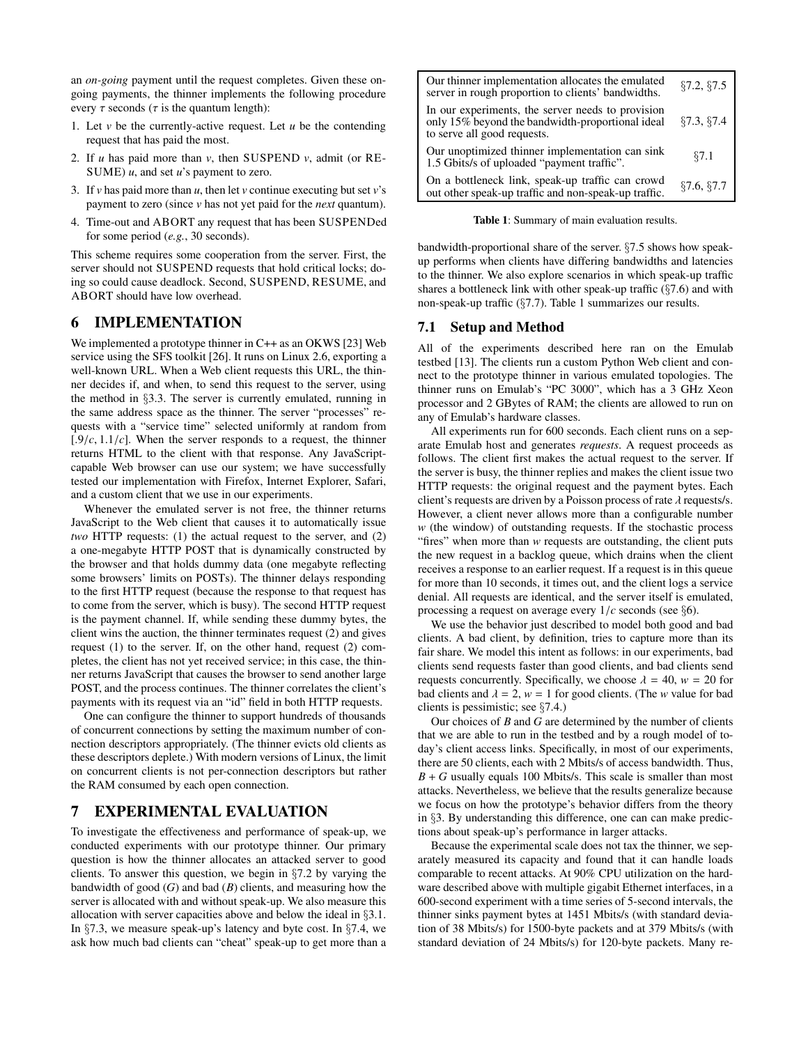an *on-going* payment until the request completes. Given these ongoing payments, the thinner implements the following procedure every  $\tau$  seconds ( $\tau$  is the quantum length):

- 1. Let  $\nu$  be the currently-active request. Let  $\nu$  be the contending request that has paid the most.
- 2. If *u* has paid more than *v*, then SUSPEND *v*, admit (or RE-SUME) *u*, and set *u*'s payment to zero.
- 3. If  $\nu$  has paid more than  $u$ , then let  $\nu$  continue executing but set  $\nu$ 's payment to zero (since *v* has not yet paid for the *next* quantum).
- 4. Time-out and ABORT any request that has been SUSPENDed for some period (*e.g.*, 30 seconds).

This scheme requires some cooperation from the server. First, the server should not SUSPEND requests that hold critical locks; doing so could cause deadlock. Second, SUSPEND, RESUME, and ABORT should have low overhead.

# **6 IMPLEMENTATION**

We implemented a prototype thinner in C++ as an OKWS [23] Web service using the SFS toolkit [26]. It runs on Linux 2.6, exporting a well-known URL. When a Web client requests this URL, the thinner decides if, and when, to send this request to the server, using the method in §3.3. The server is currently emulated, running in the same address space as the thinner. The server "processes" requests with a "service time" selected uniformly at random from  $[0.9/c, 1.1/c]$ . When the server responds to a request, the thinner returns HTML to the client with that response. Any JavaScriptcapable Web browser can use our system; we have successfully tested our implementation with Firefox, Internet Explorer, Safari, and a custom client that we use in our experiments.

Whenever the emulated server is not free, the thinner returns JavaScript to the Web client that causes it to automatically issue *two* HTTP requests: (1) the actual request to the server, and (2) a one-megabyte HTTP POST that is dynamically constructed by the browser and that holds dummy data (one megabyte reflecting some browsers' limits on POSTs). The thinner delays responding to the first HTTP request (because the response to that request has to come from the server, which is busy). The second HTTP request is the payment channel. If, while sending these dummy bytes, the client wins the auction, the thinner terminates request (2) and gives request (1) to the server. If, on the other hand, request (2) completes, the client has not yet received service; in this case, the thinner returns JavaScript that causes the browser to send another large POST, and the process continues. The thinner correlates the client's payments with its request via an "id" field in both HTTP requests.

One can configure the thinner to support hundreds of thousands of concurrent connections by setting the maximum number of connection descriptors appropriately. (The thinner evicts old clients as these descriptors deplete.) With modern versions of Linux, the limit on concurrent clients is not per-connection descriptors but rather the RAM consumed by each open connection.

## **7 EXPERIMENTAL EVALUATION**

To investigate the effectiveness and performance of speak-up, we conducted experiments with our prototype thinner. Our primary question is how the thinner allocates an attacked server to good clients. To answer this question, we begin in §7.2 by varying the bandwidth of good (*G*) and bad (*B*) clients, and measuring how the server is allocated with and without speak-up. We also measure this allocation with server capacities above and below the ideal in §3.1. In §7.3, we measure speak-up's latency and byte cost. In §7.4, we ask how much bad clients can "cheat" speak-up to get more than a

| Our thinner implementation allocates the emulated<br>server in rough proportion to clients' bandwidths.                              | $\S 7.2, \S 7.5$ |
|--------------------------------------------------------------------------------------------------------------------------------------|------------------|
| In our experiments, the server needs to provision<br>only 15% beyond the bandwidth-proportional ideal<br>to serve all good requests. | $\S 7.3, \S 7.4$ |
| Our unoptimized thinner implementation can sink<br>1.5 Gbits/s of uploaded "payment traffic".                                        | §7.1             |
| On a bottleneck link, speak-up traffic can crowd<br>out other speak-up traffic and non-speak-up traffic.                             | 87.6, 87.7       |

**Table 1**: Summary of main evaluation results.

bandwidth-proportional share of the server. §7.5 shows how speakup performs when clients have differing bandwidths and latencies to the thinner. We also explore scenarios in which speak-up traffic shares a bottleneck link with other speak-up traffic  $(\S7.6)$  and with non-speak-up traffic (§7.7). Table 1 summarizes our results.

## **7.1 Setup and Method**

All of the experiments described here ran on the Emulab testbed [13]. The clients run a custom Python Web client and connect to the prototype thinner in various emulated topologies. The thinner runs on Emulab's "PC 3000", which has a 3 GHz Xeon processor and 2 GBytes of RAM; the clients are allowed to run on any of Emulab's hardware classes.

All experiments run for 600 seconds. Each client runs on a separate Emulab host and generates *requests*. A request proceeds as follows. The client first makes the actual request to the server. If the server is busy, the thinner replies and makes the client issue two HTTP requests: the original request and the payment bytes. Each client's requests are driven by a Poisson process of rate  $\lambda$  requests/s. However, a client never allows more than a configurable number *w* (the window) of outstanding requests. If the stochastic process "fires" when more than *w* requests are outstanding, the client puts the new request in a backlog queue, which drains when the client receives a response to an earlier request. If a request is in this queue for more than 10 seconds, it times out, and the client logs a service denial. All requests are identical, and the server itself is emulated, processing a request on average every 1/*c* seconds (see §6).

We use the behavior just described to model both good and bad clients. A bad client, by definition, tries to capture more than its fair share. We model this intent as follows: in our experiments, bad clients send requests faster than good clients, and bad clients send requests concurrently. Specifically, we choose  $\lambda = 40$ ,  $w = 20$  for bad clients and  $\lambda = 2$ ,  $w = 1$  for good clients. (The *w* value for bad clients is pessimistic; see §7.4.)

Our choices of *B* and *G* are determined by the number of clients that we are able to run in the testbed and by a rough model of today's client access links. Specifically, in most of our experiments, there are 50 clients, each with 2 Mbits/s of access bandwidth. Thus,  $B + G$  usually equals 100 Mbits/s. This scale is smaller than most attacks. Nevertheless, we believe that the results generalize because we focus on how the prototype's behavior differs from the theory in §3. By understanding this difference, one can can make predictions about speak-up's performance in larger attacks.

Because the experimental scale does not tax the thinner, we separately measured its capacity and found that it can handle loads comparable to recent attacks. At 90% CPU utilization on the hardware described above with multiple gigabit Ethernet interfaces, in a 600-second experiment with a time series of 5-second intervals, the thinner sinks payment bytes at 1451 Mbits/s (with standard deviation of 38 Mbits/s) for 1500-byte packets and at 379 Mbits/s (with standard deviation of 24 Mbits/s) for 120-byte packets. Many re-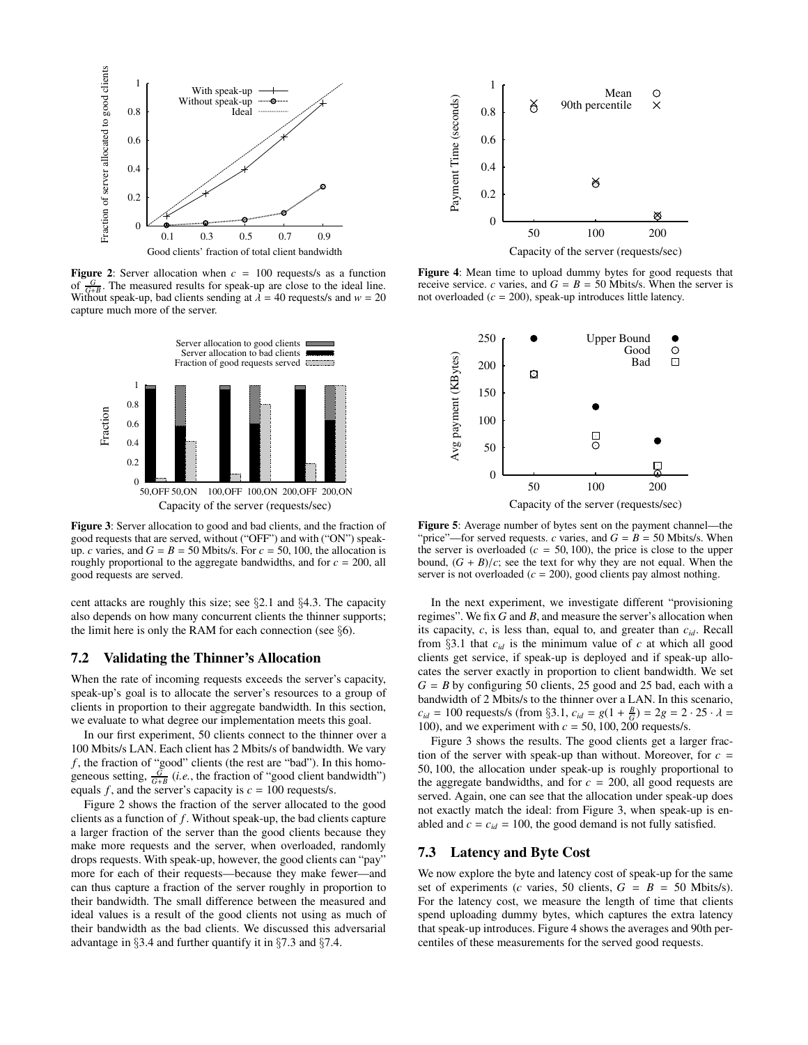

**Figure** 2: Server allocation when  $c = 100$  requests/s as a function of  $\frac{G}{G+B}$ . The measured results for speak-up are close to the ideal line. Without speak-up, bad clients sending at  $\lambda = 40$  requests/s and  $w = 20$ capture much more of the server.



**Figure 3**: Server allocation to good and bad clients, and the fraction of good requests that are served, without ("OFF") and with ("ON") speakup. *c* varies, and  $G = B = 50$  Mbits/s. For  $c = 50$ , 100, the allocation is roughly proportional to the aggregate bandwidths, and for  $c = 200$ , all good requests are served.

cent attacks are roughly this size; see §2.1 and §4.3. The capacity also depends on how many concurrent clients the thinner supports; the limit here is only the RAM for each connection (see §6).

## **7.2 Validating the Thinner's Allocation**

When the rate of incoming requests exceeds the server's capacity, speak-up's goal is to allocate the server's resources to a group of clients in proportion to their aggregate bandwidth. In this section, we evaluate to what degree our implementation meets this goal.

In our first experiment, 50 clients connect to the thinner over a 100 Mbits/s LAN. Each client has 2 Mbits/s of bandwidth. We vary *f* , the fraction of "good" clients (the rest are "bad"). In this homogeneous setting,  $\frac{G}{G+B}$  (*i.e.*, the fraction of "good client bandwidth") equals  $f$ , and the server's capacity is  $c = 100$  requests/s.

Figure 2 shows the fraction of the server allocated to the good clients as a function of *f* . Without speak-up, the bad clients capture a larger fraction of the server than the good clients because they make more requests and the server, when overloaded, randomly drops requests. With speak-up, however, the good clients can "pay" more for each of their requests—because they make fewer—and can thus capture a fraction of the server roughly in proportion to their bandwidth. The small difference between the measured and ideal values is a result of the good clients not using as much of their bandwidth as the bad clients. We discussed this adversarial advantage in §3.4 and further quantify it in §7.3 and §7.4.



Capacity of the server (requests/sec)

**Figure 4**: Mean time to upload dummy bytes for good requests that receive service. *c* varies, and  $G = B = 50$  Mbits/s. When the server is not overloaded (*c* = 200), speak-up introduces little latency.



**Figure 5**: Average number of bytes sent on the payment channel—the "price"—for served requests. *c* varies, and  $G = B = 50$  Mbits/s. When the server is overloaded  $(c = 50, 100)$ , the price is close to the upper bound,  $(G + B)/c$ ; see the text for why they are not equal. When the server is not overloaded  $(c = 200)$ , good clients pay almost nothing.

In the next experiment, we investigate different "provisioning regimes". We fix *G* and *B*, and measure the server's allocation when its capacity, *c*, is less than, equal to, and greater than *cid*. Recall from §3.1 that  $c_{id}$  is the minimum value of  $c$  at which all good clients get service, if speak-up is deployed and if speak-up allocates the server exactly in proportion to client bandwidth. We set  $G = B$  by configuring 50 clients, 25 good and 25 bad, each with a bandwidth of 2 Mbits/s to the thinner over a LAN. In this scenario, *c<sub>id</sub>* = 100 requests/s (from §3.1,  $c_{id} = g(1 + \frac{B}{G}) = 2g = 2 \cdot 25 \cdot \lambda =$ 100), and we experiment with  $c = 50$ , 100, 200 requests/s.

Figure 3 shows the results. The good clients get a larger fraction of the server with speak-up than without. Moreover, for  $c =$ 50, 100, the allocation under speak-up is roughly proportional to the aggregate bandwidths, and for  $c = 200$ , all good requests are served. Again, one can see that the allocation under speak-up does not exactly match the ideal: from Figure 3, when speak-up is enabled and  $c = c_{id} = 100$ , the good demand is not fully satisfied.

## **7.3 Latency and Byte Cost**

We now explore the byte and latency cost of speak-up for the same set of experiments (*c* varies, 50 clients,  $G = B = 50$  Mbits/s). For the latency cost, we measure the length of time that clients spend uploading dummy bytes, which captures the extra latency that speak-up introduces. Figure 4 shows the averages and 90th percentiles of these measurements for the served good requests.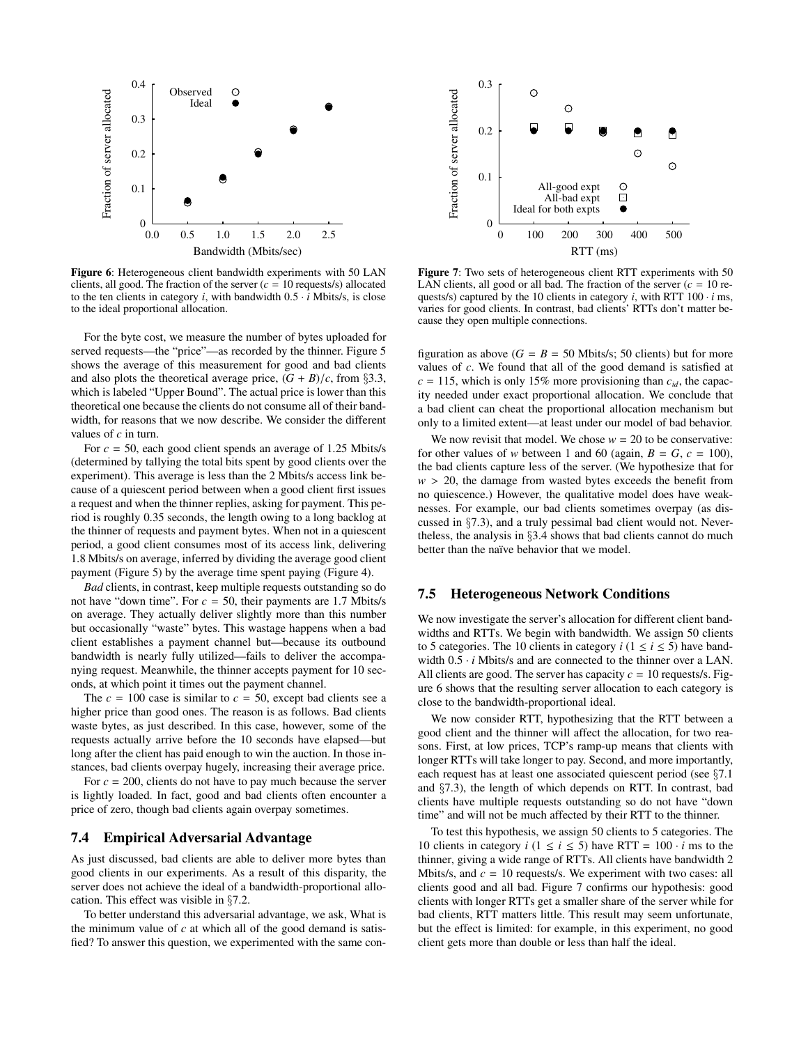

**Figure 6**: Heterogeneous client bandwidth experiments with 50 LAN clients, all good. The fraction of the server  $(c = 10$  requests/s) allocated to the ten clients in category  $i$ , with bandwidth  $0.5 \cdot i$  Mbits/s, is close to the ideal proportional allocation.

For the byte cost, we measure the number of bytes uploaded for served requests—the "price"—as recorded by the thinner. Figure 5 shows the average of this measurement for good and bad clients and also plots the theoretical average price,  $(G + B)/c$ , from §3.3, which is labeled "Upper Bound". The actual price is lower than this theoretical one because the clients do not consume all of their bandwidth, for reasons that we now describe. We consider the different values of *c* in turn.

For  $c = 50$ , each good client spends an average of 1.25 Mbits/s (determined by tallying the total bits spent by good clients over the experiment). This average is less than the 2 Mbits/s access link because of a quiescent period between when a good client first issues a request and when the thinner replies, asking for payment. This period is roughly 0.35 seconds, the length owing to a long backlog at the thinner of requests and payment bytes. When not in a quiescent period, a good client consumes most of its access link, delivering 1.8 Mbits/s on average, inferred by dividing the average good client payment (Figure 5) by the average time spent paying (Figure 4).

*Bad* clients, in contrast, keep multiple requests outstanding so do not have "down time". For *c* = 50, their payments are 1.7 Mbits/s on average. They actually deliver slightly more than this number but occasionally "waste" bytes. This wastage happens when a bad client establishes a payment channel but—because its outbound bandwidth is nearly fully utilized—fails to deliver the accompanying request. Meanwhile, the thinner accepts payment for 10 seconds, at which point it times out the payment channel.

The  $c = 100$  case is similar to  $c = 50$ , except bad clients see a higher price than good ones. The reason is as follows. Bad clients waste bytes, as just described. In this case, however, some of the requests actually arrive before the 10 seconds have elapsed—but long after the client has paid enough to win the auction. In those instances, bad clients overpay hugely, increasing their average price.

For  $c = 200$ , clients do not have to pay much because the server is lightly loaded. In fact, good and bad clients often encounter a price of zero, though bad clients again overpay sometimes.

### **7.4 Empirical Adversarial Advantage**

As just discussed, bad clients are able to deliver more bytes than good clients in our experiments. As a result of this disparity, the server does not achieve the ideal of a bandwidth-proportional allocation. This effect was visible in §7.2.

To better understand this adversarial advantage, we ask, What is the minimum value of  $c$  at which all of the good demand is satisfied? To answer this question, we experimented with the same con-



**Figure 7**: Two sets of heterogeneous client RTT experiments with 50 LAN clients, all good or all bad. The fraction of the server  $(c = 10$  requests/s) captured by the 10 clients in category  $i$ , with RTT 100  $\cdot$   $i$  ms, varies for good clients. In contrast, bad clients' RTTs don't matter because they open multiple connections.

figuration as above ( $G = B = 50$  Mbits/s; 50 clients) but for more values of *c*. We found that all of the good demand is satisfied at  $c = 115$ , which is only 15% more provisioning than  $c_{id}$ , the capacity needed under exact proportional allocation. We conclude that a bad client can cheat the proportional allocation mechanism but only to a limited extent—at least under our model of bad behavior.

We now revisit that model. We chose  $w = 20$  to be conservative: for other values of *w* between 1 and 60 (again,  $B = G$ ,  $c = 100$ ), the bad clients capture less of the server. (We hypothesize that for  $w > 20$ , the damage from wasted bytes exceeds the benefit from no quiescence.) However, the qualitative model does have weaknesses. For example, our bad clients sometimes overpay (as discussed in §7.3), and a truly pessimal bad client would not. Nevertheless, the analysis in §3.4 shows that bad clients cannot do much better than the naïve behavior that we model.

## **7.5 Heterogeneous Network Conditions**

We now investigate the server's allocation for different client bandwidths and RTTs. We begin with bandwidth. We assign 50 clients to 5 categories. The 10 clients in category  $i$  ( $1 \le i \le 5$ ) have bandwidth  $0.5 \cdot i$  Mbits/s and are connected to the thinner over a LAN. All clients are good. The server has capacity  $c = 10$  requests/s. Figure 6 shows that the resulting server allocation to each category is close to the bandwidth-proportional ideal.

We now consider RTT, hypothesizing that the RTT between a good client and the thinner will affect the allocation, for two reasons. First, at low prices, TCP's ramp-up means that clients with longer RTTs will take longer to pay. Second, and more importantly, each request has at least one associated quiescent period (see §7.1 and §7.3), the length of which depends on RTT. In contrast, bad clients have multiple requests outstanding so do not have "down time" and will not be much affected by their RTT to the thinner.

To test this hypothesis, we assign 50 clients to 5 categories. The 10 clients in category  $i$  ( $1 \le i \le 5$ ) have RTT = 100  $\cdot i$  ms to the thinner, giving a wide range of RTTs. All clients have bandwidth 2 Mbits/s, and *c* = 10 requests/s. We experiment with two cases: all clients good and all bad. Figure 7 confirms our hypothesis: good clients with longer RTTs get a smaller share of the server while for bad clients, RTT matters little. This result may seem unfortunate, but the effect is limited: for example, in this experiment, no good client gets more than double or less than half the ideal.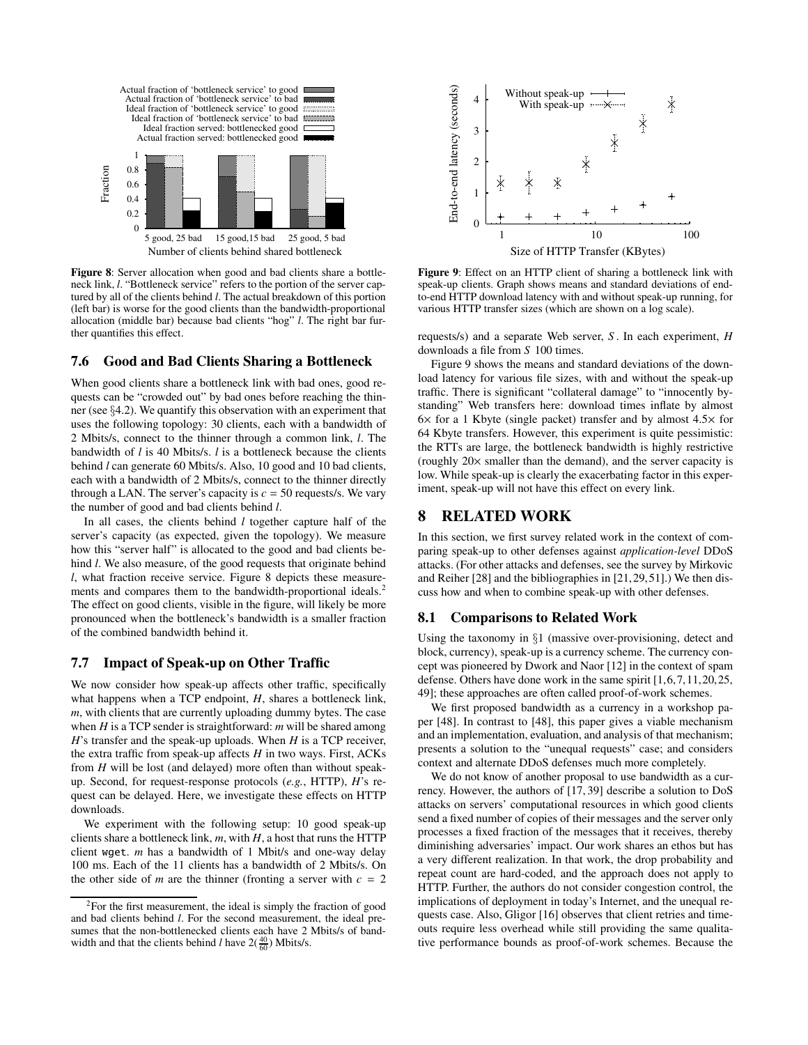

**Figure 8**: Server allocation when good and bad clients share a bottleneck link, *l*. "Bottleneck service" refers to the portion of the server captured by all of the clients behind *l*. The actual breakdown of this portion (left bar) is worse for the good clients than the bandwidth-proportional allocation (middle bar) because bad clients "hog" *l*. The right bar further quantifies this effect.

#### **7.6 Good and Bad Clients Sharing a Bottleneck**

When good clients share a bottleneck link with bad ones, good requests can be "crowded out" by bad ones before reaching the thinner (see §4.2). We quantify this observation with an experiment that uses the following topology: 30 clients, each with a bandwidth of 2 Mbits/s, connect to the thinner through a common link, *l*. The bandwidth of *l* is 40 Mbits/s. *l* is a bottleneck because the clients behind *l* can generate 60 Mbits/s. Also, 10 good and 10 bad clients, each with a bandwidth of 2 Mbits/s, connect to the thinner directly through a LAN. The server's capacity is  $c = 50$  requests/s. We vary the number of good and bad clients behind *l*.

In all cases, the clients behind *l* together capture half of the server's capacity (as expected, given the topology). We measure how this "server half" is allocated to the good and bad clients behind *l*. We also measure, of the good requests that originate behind *l*, what fraction receive service. Figure 8 depicts these measurements and compares them to the bandwidth-proportional ideals.<sup>2</sup> The effect on good clients, visible in the figure, will likely be more pronounced when the bottleneck's bandwidth is a smaller fraction of the combined bandwidth behind it.

#### **7.7 Impact of Speak-up on Other Traffic**

We now consider how speak-up affects other traffic, specifically what happens when a TCP endpoint, *H*, shares a bottleneck link, *m*, with clients that are currently uploading dummy bytes. The case when *H* is a TCP sender is straightforward: *m* will be shared among *H*'s transfer and the speak-up uploads. When *H* is a TCP receiver, the extra traffic from speak-up affects *H* in two ways. First, ACKs from *H* will be lost (and delayed) more often than without speakup. Second, for request-response protocols (*e.g.*, HTTP), *H*'s request can be delayed. Here, we investigate these effects on HTTP downloads.

We experiment with the following setup: 10 good speak-up clients share a bottleneck link, *m*, with *H*, a host that runs the HTTP client wget. *m* has a bandwidth of 1 Mbit/s and one-way delay 100 ms. Each of the 11 clients has a bandwidth of 2 Mbits/s. On the other side of *m* are the thinner (fronting a server with  $c = 2$ 



**Figure 9**: Effect on an HTTP client of sharing a bottleneck link with speak-up clients. Graph shows means and standard deviations of endto-end HTTP download latency with and without speak-up running, for various HTTP transfer sizes (which are shown on a log scale).

requests/s) and a separate Web server, *S* . In each experiment, *H* downloads a file from *S* 100 times.

Figure 9 shows the means and standard deviations of the download latency for various file sizes, with and without the speak-up traffic. There is significant "collateral damage" to "innocently bystanding" Web transfers here: download times inflate by almost 6× for a 1 Kbyte (single packet) transfer and by almost 4.5× for 64 Kbyte transfers. However, this experiment is quite pessimistic: the RTTs are large, the bottleneck bandwidth is highly restrictive (roughly 20× smaller than the demand), and the server capacity is low. While speak-up is clearly the exacerbating factor in this experiment, speak-up will not have this effect on every link.

# **8 RELATED WORK**

In this section, we first survey related work in the context of comparing speak-up to other defenses against *application-level* DDoS attacks. (For other attacks and defenses, see the survey by Mirkovic and Reiher [28] and the bibliographies in [21,29,51].) We then discuss how and when to combine speak-up with other defenses.

## **8.1 Comparisons to Related Work**

Using the taxonomy in §1 (massive over-provisioning, detect and block, currency), speak-up is a currency scheme. The currency concept was pioneered by Dwork and Naor [12] in the context of spam defense. Others have done work in the same spirit [1,6,7,11,20,25, 49]; these approaches are often called proof-of-work schemes.

We first proposed bandwidth as a currency in a workshop paper [48]. In contrast to [48], this paper gives a viable mechanism and an implementation, evaluation, and analysis of that mechanism; presents a solution to the "unequal requests" case; and considers context and alternate DDoS defenses much more completely.

We do not know of another proposal to use bandwidth as a currency. However, the authors of [17, 39] describe a solution to DoS attacks on servers' computational resources in which good clients send a fixed number of copies of their messages and the server only processes a fixed fraction of the messages that it receives, thereby diminishing adversaries' impact. Our work shares an ethos but has a very different realization. In that work, the drop probability and repeat count are hard-coded, and the approach does not apply to HTTP. Further, the authors do not consider congestion control, the implications of deployment in today's Internet, and the unequal requests case. Also, Gligor [16] observes that client retries and timeouts require less overhead while still providing the same qualitative performance bounds as proof-of-work schemes. Because the

<sup>2</sup>For the first measurement, the ideal is simply the fraction of good and bad clients behind *l*. For the second measurement, the ideal presumes that the non-bottlenecked clients each have 2 Mbits/s of bandwidth and that the clients behind *l* have  $2(\frac{40}{60})$  Mbits/s.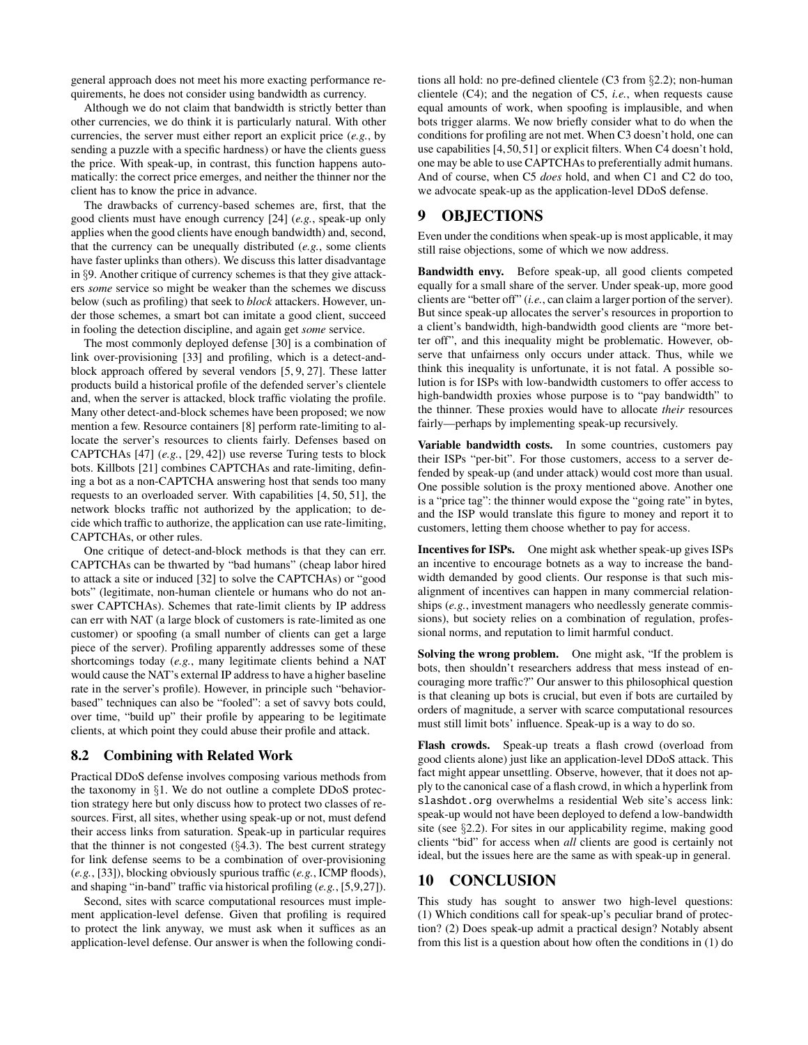general approach does not meet his more exacting performance requirements, he does not consider using bandwidth as currency.

Although we do not claim that bandwidth is strictly better than other currencies, we do think it is particularly natural. With other currencies, the server must either report an explicit price (*e.g.*, by sending a puzzle with a specific hardness) or have the clients guess the price. With speak-up, in contrast, this function happens automatically: the correct price emerges, and neither the thinner nor the client has to know the price in advance.

The drawbacks of currency-based schemes are, first, that the good clients must have enough currency [24] (*e.g.*, speak-up only applies when the good clients have enough bandwidth) and, second, that the currency can be unequally distributed (*e.g.*, some clients have faster uplinks than others). We discuss this latter disadvantage in §9. Another critique of currency schemes is that they give attackers *some* service so might be weaker than the schemes we discuss below (such as profiling) that seek to *block* attackers. However, under those schemes, a smart bot can imitate a good client, succeed in fooling the detection discipline, and again get *some* service.

The most commonly deployed defense [30] is a combination of link over-provisioning [33] and profiling, which is a detect-andblock approach offered by several vendors [5, 9, 27]. These latter products build a historical profile of the defended server's clientele and, when the server is attacked, block traffic violating the profile. Many other detect-and-block schemes have been proposed; we now mention a few. Resource containers [8] perform rate-limiting to allocate the server's resources to clients fairly. Defenses based on CAPTCHAs [47] (*e.g.*, [29, 42]) use reverse Turing tests to block bots. Killbots [21] combines CAPTCHAs and rate-limiting, defining a bot as a non-CAPTCHA answering host that sends too many requests to an overloaded server. With capabilities [4, 50, 51], the network blocks traffic not authorized by the application; to decide which traffic to authorize, the application can use rate-limiting, CAPTCHAs, or other rules.

One critique of detect-and-block methods is that they can err. CAPTCHAs can be thwarted by "bad humans" (cheap labor hired to attack a site or induced [32] to solve the CAPTCHAs) or "good bots" (legitimate, non-human clientele or humans who do not answer CAPTCHAs). Schemes that rate-limit clients by IP address can err with NAT (a large block of customers is rate-limited as one customer) or spoofing (a small number of clients can get a large piece of the server). Profiling apparently addresses some of these shortcomings today (*e.g.*, many legitimate clients behind a NAT would cause the NAT's external IP address to have a higher baseline rate in the server's profile). However, in principle such "behaviorbased" techniques can also be "fooled": a set of savvy bots could, over time, "build up" their profile by appearing to be legitimate clients, at which point they could abuse their profile and attack.

## **8.2 Combining with Related Work**

Practical DDoS defense involves composing various methods from the taxonomy in §1. We do not outline a complete DDoS protection strategy here but only discuss how to protect two classes of resources. First, all sites, whether using speak-up or not, must defend their access links from saturation. Speak-up in particular requires that the thinner is not congested  $(\S4.3)$ . The best current strategy for link defense seems to be a combination of over-provisioning (*e.g.*, [33]), blocking obviously spurious traffic (*e.g.*, ICMP floods), and shaping "in-band" traffic via historical profiling (*e.g.*, [5,9,27]).

Second, sites with scarce computational resources must implement application-level defense. Given that profiling is required to protect the link anyway, we must ask when it suffices as an application-level defense. Our answer is when the following conditions all hold: no pre-defined clientele (C3 from §2.2); non-human clientele (C4); and the negation of C5, *i.e.*, when requests cause equal amounts of work, when spoofing is implausible, and when bots trigger alarms. We now briefly consider what to do when the conditions for profiling are not met. When C3 doesn't hold, one can use capabilities [4,50,51] or explicit filters. When C4 doesn't hold, one may be able to use CAPTCHAs to preferentially admit humans. And of course, when C5 *does* hold, and when C1 and C2 do too, we advocate speak-up as the application-level DDoS defense.

## **9 OBJECTIONS**

Even under the conditions when speak-up is most applicable, it may still raise objections, some of which we now address.

**Bandwidth envy.** Before speak-up, all good clients competed equally for a small share of the server. Under speak-up, more good clients are "better off" (*i.e.*, can claim a larger portion of the server). But since speak-up allocates the server's resources in proportion to a client's bandwidth, high-bandwidth good clients are "more better off", and this inequality might be problematic. However, observe that unfairness only occurs under attack. Thus, while we think this inequality is unfortunate, it is not fatal. A possible solution is for ISPs with low-bandwidth customers to offer access to high-bandwidth proxies whose purpose is to "pay bandwidth" to the thinner. These proxies would have to allocate *their* resources fairly—perhaps by implementing speak-up recursively.

**Variable bandwidth costs.** In some countries, customers pay their ISPs "per-bit". For those customers, access to a server defended by speak-up (and under attack) would cost more than usual. One possible solution is the proxy mentioned above. Another one is a "price tag": the thinner would expose the "going rate" in bytes, and the ISP would translate this figure to money and report it to customers, letting them choose whether to pay for access.

**Incentives for ISPs.** One might ask whether speak-up gives ISPs an incentive to encourage botnets as a way to increase the bandwidth demanded by good clients. Our response is that such misalignment of incentives can happen in many commercial relationships (*e.g.*, investment managers who needlessly generate commissions), but society relies on a combination of regulation, professional norms, and reputation to limit harmful conduct.

**Solving the wrong problem.** One might ask, "If the problem is bots, then shouldn't researchers address that mess instead of encouraging more traffic?" Our answer to this philosophical question is that cleaning up bots is crucial, but even if bots are curtailed by orders of magnitude, a server with scarce computational resources must still limit bots' influence. Speak-up is a way to do so.

**Flash crowds.** Speak-up treats a flash crowd (overload from good clients alone) just like an application-level DDoS attack. This fact might appear unsettling. Observe, however, that it does not apply to the canonical case of a flash crowd, in which a hyperlink from slashdot.org overwhelms a residential Web site's access link: speak-up would not have been deployed to defend a low-bandwidth site (see §2.2). For sites in our applicability regime, making good clients "bid" for access when *all* clients are good is certainly not ideal, but the issues here are the same as with speak-up in general.

## **10 CONCLUSION**

This study has sought to answer two high-level questions: (1) Which conditions call for speak-up's peculiar brand of protection? (2) Does speak-up admit a practical design? Notably absent from this list is a question about how often the conditions in (1) do